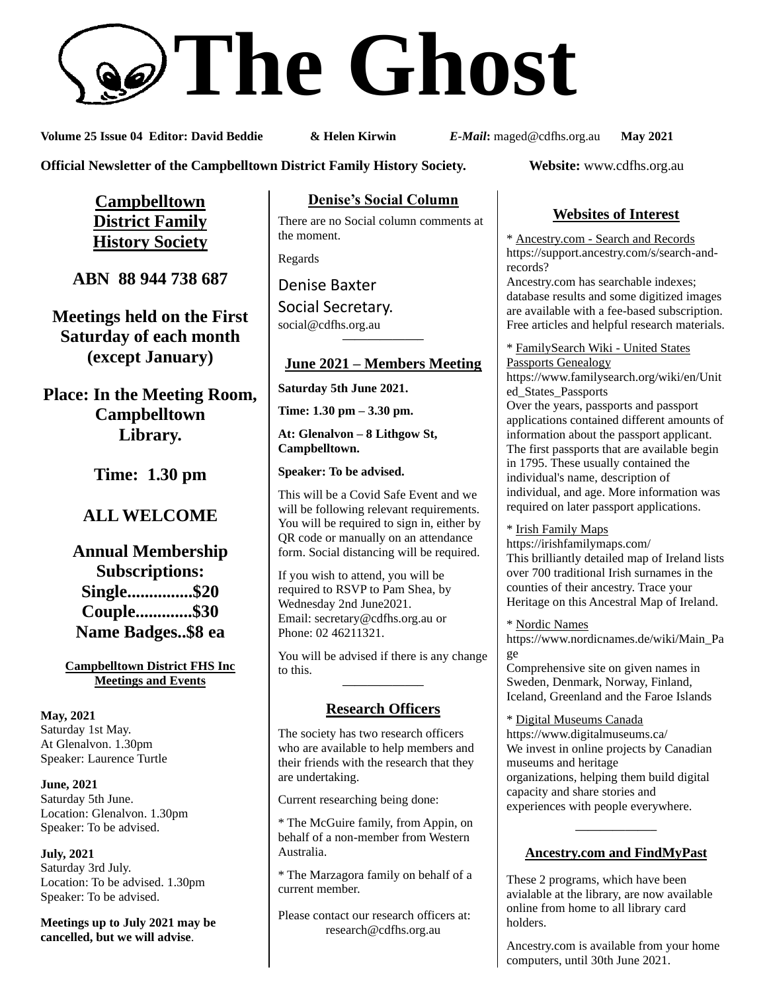# **The Ghost**

**Volume 25 Issue 04 Editor: David Beddie & Helen Kirwin** *E-Mail***:** maged@cdfhs.org.au **May 2021**

**Official Newsletter of the Campbelltown District Family History Society. Website:** www.cdfhs.org.au

**Campbelltown District Family History Society**

**ABN 88 944 738 687**

**Meetings held on the First Saturday of each month (except January)**

**Place: In the Meeting Room, Campbelltown Library.**

**Time: 1.30 pm**

# **ALL WELCOME**

**Annual Membership Subscriptions: Single...............\$20 Couple.............\$30 Name Badges..\$8 ea**

**Campbelltown District FHS Inc Meetings and Events**

**May, 2021** Saturday 1st May. At Glenalvon. 1.30pm Speaker: Laurence Turtle

**June, 2021** Saturday 5th June. Location: Glenalvon. 1.30pm Speaker: To be advised.

**July, 2021** Saturday 3rd July. Location: To be advised. 1.30pm Speaker: To be advised.

**Meetings up to July 2021 may be cancelled, but we will advise**.

**Denise's Social Column**

There are no Social column comments at the moment.

Regards

Denise Baxter

Social Secretary. [social@cdfhs.org.au](mailto:social@cdfhs.org.au) **——————–**

# **June 2021 – Members Meeting**

**Saturday 5th June 2021.**

**Time: 1.30 pm – 3.30 pm.**

**At: Glenalvon – 8 Lithgow St, Campbelltown.**

**Speaker: To be advised.**

This will be a Covid Safe Event and we will be following relevant requirements. You will be required to sign in, either by QR code or manually on an attendance form. Social distancing will be required.

If you wish to attend, you will be required to RSVP to Pam Shea, by Wednesday 2nd June2021. Email: [secretary@cdfhs.org.au](mailto:secretary@cdfhs.org.au) or Phone: 02 46211321.

You will be advised if there is any change to this. **——————–**

# **Research Officers**

The society has two research officers who are available to help members and their friends with the research that they are undertaking.

Current researching being done:

\* The McGuire family, from Appin, on behalf of a non-member from Western Australia.

\* The Marzagora family on behalf of a current member.

Please contact our research officers at: research@cdfhs.org.au

# **Websites of Interest**

\* Ancestry.com - Search and Records https://support.ancestry.com/s/search-andrecords?

Ancestry.com has searchable indexes; database results and some digitized images are available with a fee-based subscription. Free articles and helpful research materials.

\* FamilySearch Wiki - United States Passports Genealogy

https://www.familysearch.org/wiki/en/Unit ed\_States\_Passports Over the years, passports and passport applications contained different amounts of information about the passport applicant. The first passports that are available begin in 1795. These usually contained the individual's name, description of individual, and age. More information was required on later passport applications.

\* Irish Family Maps https://irishfamilymaps.com/ This brilliantly detailed map of Ireland lists over 700 traditional Irish surnames in the counties of their ancestry. Trace your Heritage on this Ancestral Map of Ireland.

\* Nordic Names https://www.nordicnames.de/wiki/Main\_Pa ge

Comprehensive site on given names in Sweden, Denmark, Norway, Finland, Iceland, Greenland and the Faroe Islands

\* Digital Museums Canada https://www.digitalmuseums.ca/ We invest in online projects by Canadian museums and heritage organizations, helping them build digital capacity and share stories and experiences with people everywhere.

# **——————– Ancestry.com and FindMyPast**

These 2 programs, which have been avialable at the library, are now available online from home to all library card holders.

Ancestry.com is available from your home computers, until 30th June 2021.